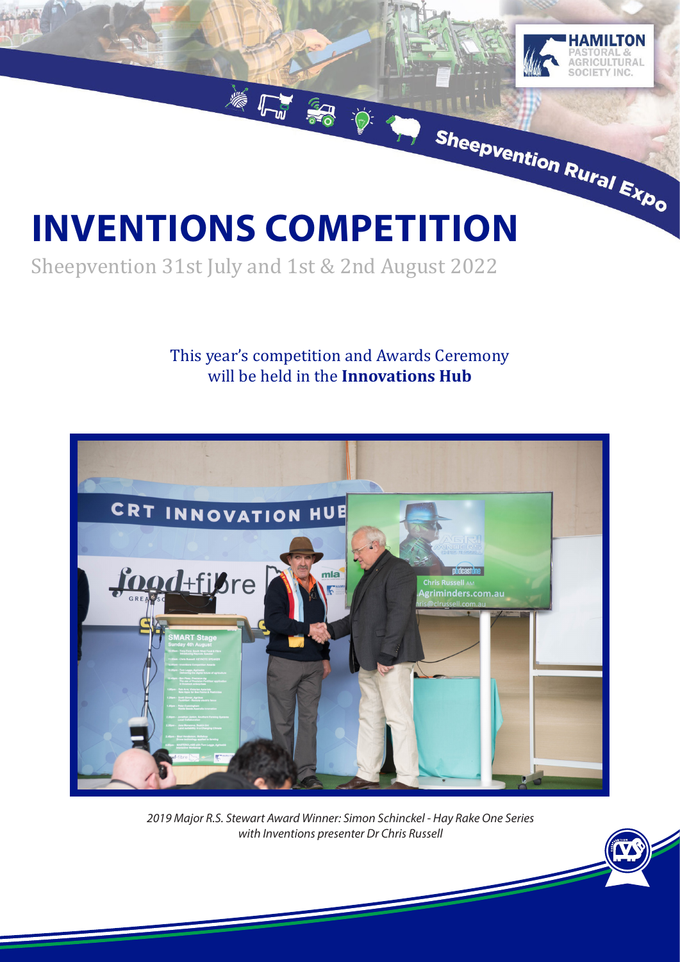# **INVENTIONS COMPETITION**

Sheepvention 31st July and 1st & 2nd August 2022

## This year's competition and Awards Ceremony will be held in the **Innovations Hub**

着片名 章



*2019 Major R.S. Stewart Award Winner: Simon Schinckel - Hay Rake One Series with Inventions presenter Dr Chris Russell*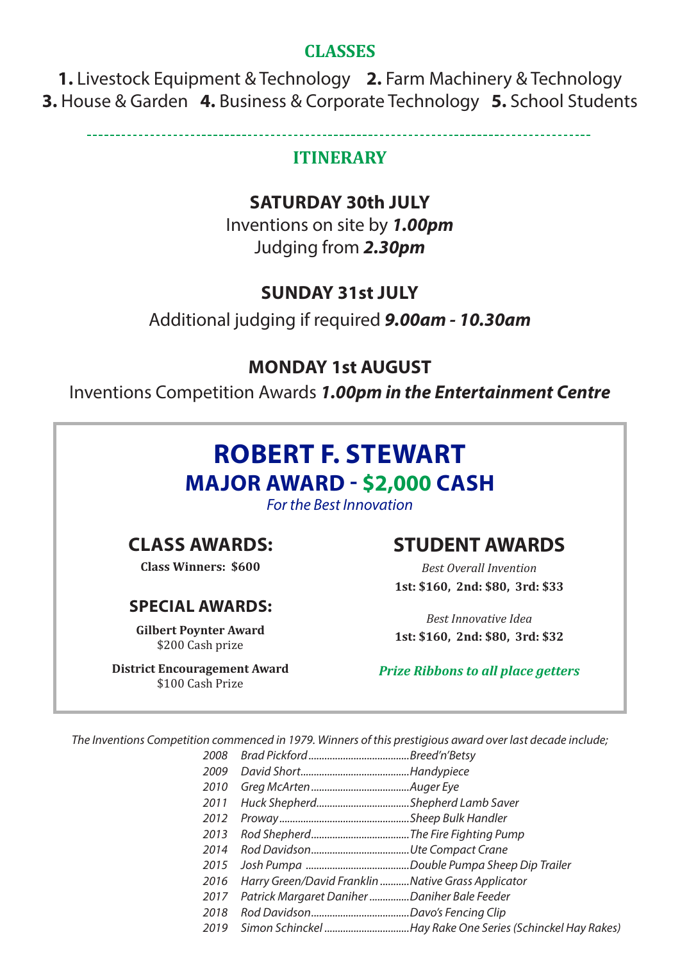#### **CLASSES**

**1.** Livestock Equipment & Technology **2.** Farm Machinery & Technology **3.** House & Garden **4.** Business & Corporate Technology **5.** School Students

#### **ITINERARY**

#### **SATURDAY 30th JULY**

Inventions on site by *1.00pm* Judging from *2.30pm*

## **SUNDAY 31st JULY**

Additional judging if required *9.00am - 10.30am*

## **MONDAY 1st AUGUST**

Inventions Competition Awards *1.00pm in the Entertainment Centre*

# **ROBERT F. STEWART MAJOR AWARD - \$2,000 CASH**

*For the Best Innovation*

# **CLASS AWARDS:**

**Class Winners: \$600**

#### **SPECIAL AWARDS:**

**Gilbert Poynter Award** \$200 Cash prize

**District Encouragement Award** \$100 Cash Prize

# **STUDENT AWARDS**

*Best Overall Invention* **1st: \$160, 2nd: \$80, 3rd: \$33**

*Best Innovative Idea* **1st: \$160, 2nd: \$80, 3rd: \$32**

*Prize Ribbons to all place getters*

*The Inventions Competition commenced in 1979. Winners of this prestigious award over last decade include;*

- *2008 Brad Pickford......................................Breed'n'Betsy*
- *2009 David Short.........................................Handypiece*
- *2010 Greg McArten.....................................Auger Eye*
- *2011 Huck Shepherd...................................Shepherd Lamb Saver*
- *2012 Proway.................................................Sheep Bulk Handler*
- *2013 Rod Shepherd.....................................The Fire Fighting Pump*
- *2014 Rod Davidson.....................................Ute Compact Crane*
- *2015 Josh Pumpa .......................................Double Pumpa Sheep Dip Trailer*
- *2016 Harry Green/David Franklin ...........Native Grass Applicator*
- *2017 Patrick Margaret Daniher ...............Daniher Bale Feeder*
- *2018 Rod Davidson.....................................Davo's Fencing Clip*
- *2019 Simon Schinckel ................................Hay Rake One Series (Schinckel Hay Rakes)*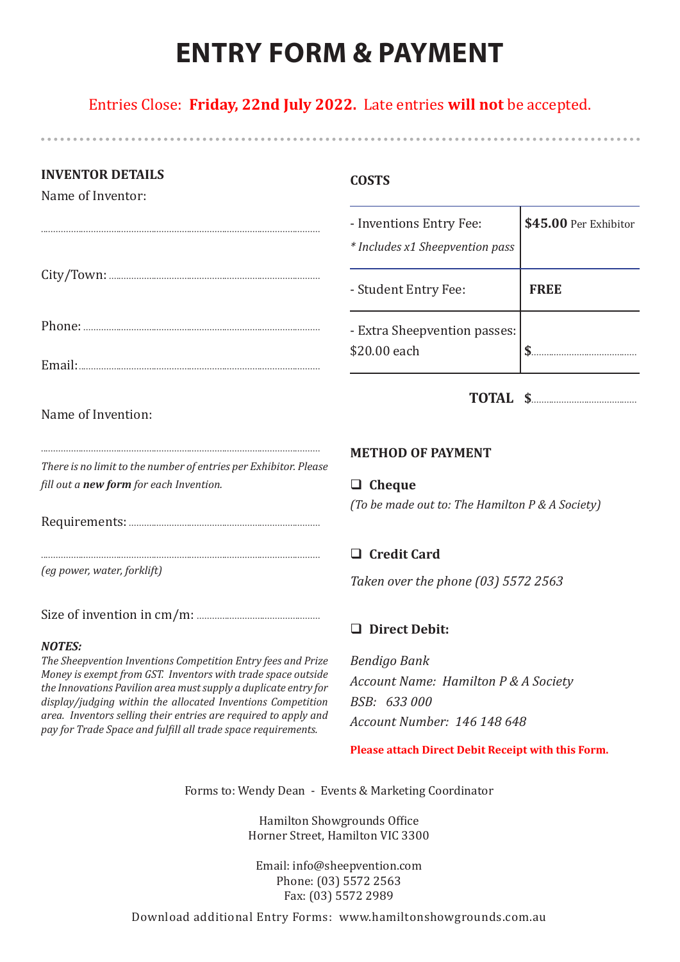# **ENTRY FORM & PAYMENT**

Entries Close: **Friday, 22nd July 2022.** Late entries **will not** be accepted.

| <b>INVENTOR DETAILS</b><br>Name of Inventor: | <b>COSTS</b>                                               |                       |
|----------------------------------------------|------------------------------------------------------------|-----------------------|
|                                              | - Inventions Entry Fee:<br>* Includes x1 Sheepvention pass | \$45.00 Per Exhibitor |
|                                              | - Student Entry Fee:                                       | <b>FREE</b>           |
|                                              | - Extra Sheepvention passes:                               |                       |
|                                              | \$20.00 each                                               |                       |
| Name of Invention:                           |                                                            | TOTAL \$              |

*There is no limit to the number of entries per Exhibitor. Please fill out a new form for each Invention.*

...............................................................................................................

Requirements: ............................................................................

...............................................................................................................

*(eg power, water, forklift)*

Size of invention in cm/m: .................................................

#### *NOTES:*

*The Sheepvention Inventions Competition Entry fees and Prize Money is exempt from GST. Inventors with trade space outside the Innovations Pavilion area must supply a duplicate entry for display/judging within the allocated Inventions Competition area. Inventors selling their entries are required to apply and pay for Trade Space and fulfill all trade space requirements.*

#### **METHOD OF PAYMENT**

□ Cheque

*(To be made out to: The Hamilton P & A Society)*

#### □ Credit Card

*Taken over the phone (03) 5572 2563*

#### q **Direct Debit:**

*Bendigo Bank Account Name: Hamilton P & A Society BSB: 633 000 Account Number: 146 148 648*

**Please attach Direct Debit Receipt with this Form.**

Forms to: Wendy Dean - Events & Marketing Coordinator

Hamilton Showgrounds Office Horner Street, Hamilton VIC 3300

Email: info@sheepvention.com Phone: (03) 5572 2563 Fax: (03) 5572 2989

Download additional Entry Forms: www.hamiltonshowgrounds.com.au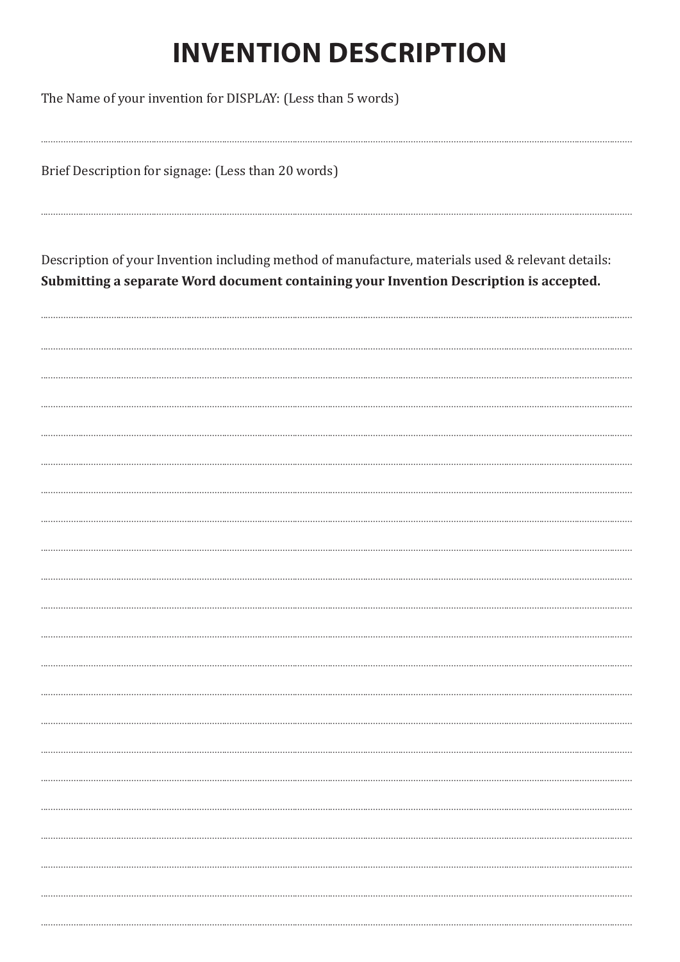# **INVENTION DESCRIPTION**

The Name of your invention for DISPLAY: (Less than 5 words)

Brief Description for signage: (Less than 20 words)

Description of your Invention including method of manufacture, materials used & relevant details: Submitting a separate Word document containing your Invention Description is accepted.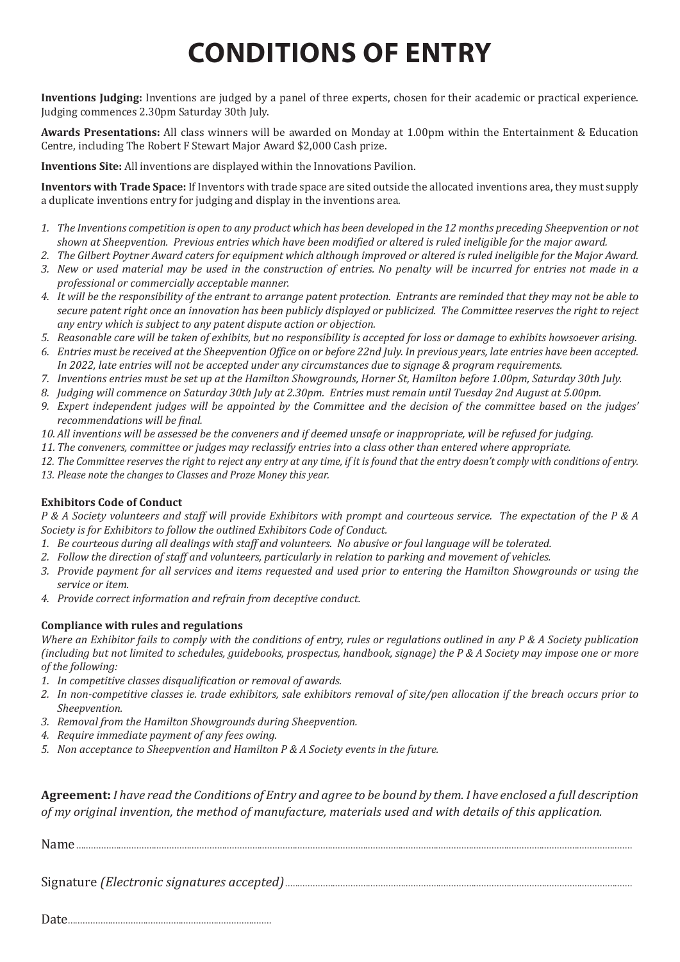# **CONDITIONS OF ENTRY**

**Inventions Judging:** Inventions are judged by a panel of three experts, chosen for their academic or practical experience. Judging commences 2.30pm Saturday 30th July.

**Awards Presentations:** All class winners will be awarded on Monday at 1.00pm within the Entertainment & Education Centre, including The Robert F Stewart Major Award \$2,000 Cash prize.

**Inventions Site:** All inventions are displayed within the Innovations Pavilion.

**Inventors with Trade Space:** If Inventors with trade space are sited outside the allocated inventions area, they must supply a duplicate inventions entry for judging and display in the inventions area.

- *1. The Inventions competition is open to any product which has been developed in the 12 months preceding Sheepvention or not shown at Sheepvention. Previous entries which have been modified or altered is ruled ineligible for the major award.*
- *2. The Gilbert Poytner Award caters for equipment which although improved or altered is ruled ineligible for the Major Award. 3. New or used material may be used in the construction of entries. No penalty will be incurred for entries not made in a*
- *professional or commercially acceptable manner. 4. It will be the responsibility of the entrant to arrange patent protection. Entrants are reminded that they may not be able to*
- *secure patent right once an innovation has been publicly displayed or publicized. The Committee reserves the right to reject any entry which is subject to any patent dispute action or objection.*
- *5. Reasonable care will be taken of exhibits, but no responsibility is accepted for loss or damage to exhibits howsoever arising.*
- *6. Entries must be received at the Sheepvention Office on or before 22nd July. In previous years, late entries have been accepted. In 2022, late entries will not be accepted under any circumstances due to signage & program requirements.*
- *7. Inventions entries must be set up at the Hamilton Showgrounds, Horner St, Hamilton before 1.00pm, Saturday 30th July.*
- *8. Judging will commence on Saturday 30th July at 2.30pm. Entries must remain until Tuesday 2nd August at 5.00pm.*
- *9. Expert independent judges will be appointed by the Committee and the decision of the committee based on the judges' recommendations will be final.*
- *10. All inventions will be assessed be the conveners and if deemed unsafe or inappropriate, will be refused for judging.*
- *11. The conveners, committee or judges may reclassify entries into a class other than entered where appropriate.*
- *12. The Committee reserves the right to reject any entry at any time, if it is found that the entry doesn't comply with conditions of entry.*
- *13. Please note the changes to Classes and Proze Money this year.*

#### **Exhibitors Code of Conduct**

*P & A Society volunteers and staff will provide Exhibitors with prompt and courteous service. The expectation of the P & A Society is for Exhibitors to follow the outlined Exhibitors Code of Conduct.*

- *1. Be courteous during all dealings with staff and volunteers. No abusive or foul language will be tolerated.*
- *2. Follow the direction of staff and volunteers, particularly in relation to parking and movement of vehicles.*
- *3. Provide payment for all services and items requested and used prior to entering the Hamilton Showgrounds or using the service or item.*
- *4. Provide correct information and refrain from deceptive conduct.*

#### **Compliance with rules and regulations**

*Where an Exhibitor fails to comply with the conditions of entry, rules or regulations outlined in any P & A Society publication (including but not limited to schedules, guidebooks, prospectus, handbook, signage) the P & A Society may impose one or more of the following:*

- *1. In competitive classes disqualification or removal of awards.*
- *2. In non-competitive classes ie. trade exhibitors, sale exhibitors removal of site/pen allocation if the breach occurs prior to Sheepvention.*
- *3. Removal from the Hamilton Showgrounds during Sheepvention.*
- *4. Require immediate payment of any fees owing.*
- *5. Non acceptance to Sheepvention and Hamilton P & A Society events in the future.*

**Agreement:** *I have read the Conditions of Entry and agree to be bound by them. I have enclosed a full description of my original invention, the method of manufacture, materials used and with details of this application.* 

Name.............................................................................................................................................................................................................................

Signature *(Electronic signatures accepted)*..........................................................................................................................................

|--|